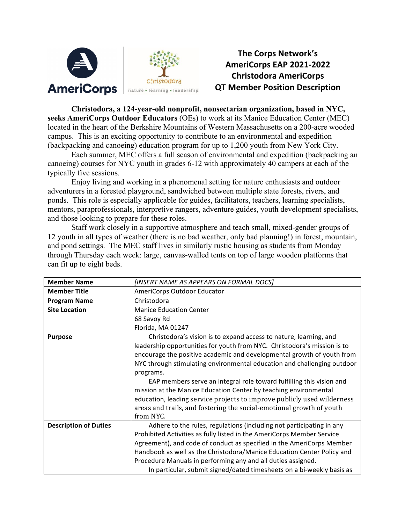

## **The Corps Network's AmeriCorps EAP 2021-2022 Christodora AmeriCorps QT Member Position Description**

**Christodora, a 124-year-old nonprofit, nonsectarian organization, based in NYC, seeks AmeriCorps Outdoor Educators** (OEs) to work at its Manice Education Center (MEC) located in the heart of the Berkshire Mountains of Western Massachusetts on a 200-acre wooded campus. This is an exciting opportunity to contribute to an environmental and expedition (backpacking and canoeing) education program for up to 1,200 youth from New York City.

Each summer, MEC offers a full season of environmental and expedition (backpacking an canoeing) courses for NYC youth in grades 6-12 with approximately 40 campers at each of the typically five sessions.

Enjoy living and working in a phenomenal setting for nature enthusiasts and outdoor adventurers in a forested playground, sandwiched between multiple state forests, rivers, and ponds. This role is especially applicable for guides, facilitators, teachers, learning specialists, mentors, paraprofessionals, interpretive rangers, adventure guides, youth development specialists, and those looking to prepare for these roles.

Staff work closely in a supportive atmosphere and teach small, mixed-gender groups of 12 youth in all types of weather (there is no bad weather, only bad planning!) in forest, mountain, and pond settings. The MEC staff lives in similarly rustic housing as students from Monday through Thursday each week: large, canvas-walled tents on top of large wooden platforms that can fit up to eight beds.

| <b>Member Name</b>           | [INSERT NAME AS APPEARS ON FORMAL DOCS]                                  |
|------------------------------|--------------------------------------------------------------------------|
| <b>Member Title</b>          | AmeriCorps Outdoor Educator                                              |
| <b>Program Name</b>          | Christodora                                                              |
| <b>Site Location</b>         | <b>Manice Education Center</b>                                           |
|                              | 68 Savoy Rd                                                              |
|                              | Florida, MA 01247                                                        |
| <b>Purpose</b>               | Christodora's vision is to expand access to nature, learning, and        |
|                              | leadership opportunities for youth from NYC. Christodora's mission is to |
|                              | encourage the positive academic and developmental growth of youth from   |
|                              | NYC through stimulating environmental education and challenging outdoor  |
|                              | programs.                                                                |
|                              | EAP members serve an integral role toward fulfilling this vision and     |
|                              | mission at the Manice Education Center by teaching environmental         |
|                              | education, leading service projects to improve publicly used wilderness  |
|                              | areas and trails, and fostering the social-emotional growth of youth     |
|                              | from NYC.                                                                |
| <b>Description of Duties</b> | Adhere to the rules, regulations (including not participating in any     |
|                              | Prohibited Activities as fully listed in the AmeriCorps Member Service   |
|                              | Agreement), and code of conduct as specified in the AmeriCorps Member    |
|                              | Handbook as well as the Christodora/Manice Education Center Policy and   |
|                              | Procedure Manuals in performing any and all duties assigned.             |
|                              | In particular, submit signed/dated timesheets on a bi-weekly basis as    |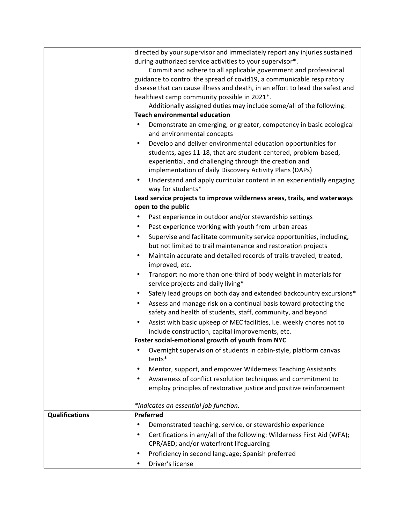|                       | directed by your supervisor and immediately report any injuries sustained                                                             |
|-----------------------|---------------------------------------------------------------------------------------------------------------------------------------|
|                       | during authorized service activities to your supervisor*.                                                                             |
|                       | Commit and adhere to all applicable government and professional                                                                       |
|                       | guidance to control the spread of covid19, a communicable respiratory                                                                 |
|                       | disease that can cause illness and death, in an effort to lead the safest and                                                         |
|                       | healthiest camp community possible in 2021*.                                                                                          |
|                       | Additionally assigned duties may include some/all of the following:                                                                   |
|                       | <b>Teach environmental education</b>                                                                                                  |
|                       | Demonstrate an emerging, or greater, competency in basic ecological<br>٠                                                              |
|                       | and environmental concepts                                                                                                            |
|                       | Develop and deliver environmental education opportunities for<br>$\bullet$                                                            |
|                       | students, ages 11-18, that are student-centered, problem-based,                                                                       |
|                       | experiential, and challenging through the creation and                                                                                |
|                       | implementation of daily Discovery Activity Plans (DAPs)                                                                               |
|                       | Understand and apply curricular content in an experientially engaging<br>٠                                                            |
|                       | way for students*                                                                                                                     |
|                       | Lead service projects to improve wilderness areas, trails, and waterways                                                              |
|                       | open to the public                                                                                                                    |
|                       | Past experience in outdoor and/or stewardship settings                                                                                |
|                       | Past experience working with youth from urban areas<br>٠                                                                              |
|                       | Supervise and facilitate community service opportunities, including,<br>٠                                                             |
|                       | but not limited to trail maintenance and restoration projects                                                                         |
|                       | Maintain accurate and detailed records of trails traveled, treated,<br>$\bullet$                                                      |
|                       | improved, etc.                                                                                                                        |
|                       | Transport no more than one-third of body weight in materials for<br>$\bullet$                                                         |
|                       | service projects and daily living*                                                                                                    |
|                       | Safely lead groups on both day and extended backcountry excursions*<br>$\bullet$                                                      |
|                       | Assess and manage risk on a continual basis toward protecting the<br>٠<br>safety and health of students, staff, community, and beyond |
|                       | Assist with basic upkeep of MEC facilities, i.e. weekly chores not to<br>$\bullet$                                                    |
|                       | include construction, capital improvements, etc.                                                                                      |
|                       | Foster social-emotional growth of youth from NYC                                                                                      |
|                       | Overnight supervision of students in cabin-style, platform canvas<br>tents*                                                           |
|                       | Mentor, support, and empower Wilderness Teaching Assistants                                                                           |
|                       | Awareness of conflict resolution techniques and commitment to                                                                         |
|                       | employ principles of restorative justice and positive reinforcement                                                                   |
|                       |                                                                                                                                       |
|                       | *Indicates an essential job function.                                                                                                 |
| <b>Qualifications</b> | Preferred                                                                                                                             |
|                       | Demonstrated teaching, service, or stewardship experience                                                                             |
|                       | Certifications in any/all of the following: Wilderness First Aid (WFA);                                                               |
|                       | CPR/AED; and/or waterfront lifeguarding                                                                                               |
|                       | Proficiency in second language; Spanish preferred                                                                                     |
|                       | Driver's license                                                                                                                      |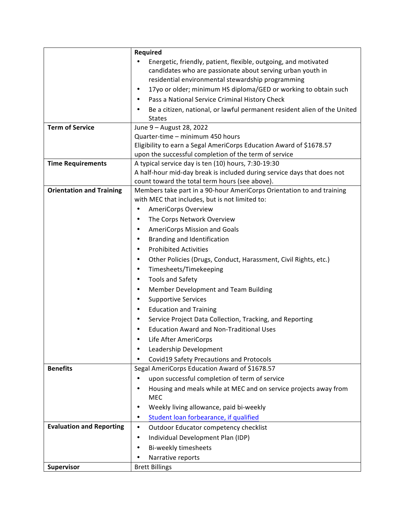|                                 | Required                                                                                  |
|---------------------------------|-------------------------------------------------------------------------------------------|
|                                 | Energetic, friendly, patient, flexible, outgoing, and motivated                           |
|                                 | candidates who are passionate about serving urban youth in                                |
|                                 | residential environmental stewardship programming                                         |
|                                 | 17yo or older; minimum HS diploma/GED or working to obtain such<br>٠                      |
|                                 | Pass a National Service Criminal History Check                                            |
|                                 | Be a citizen, national, or lawful permanent resident alien of the United<br><b>States</b> |
| <b>Term of Service</b>          | June 9 - August 28, 2022                                                                  |
|                                 | Quarter-time - minimum 450 hours                                                          |
|                                 | Eligibility to earn a Segal AmeriCorps Education Award of \$1678.57                       |
|                                 | upon the successful completion of the term of service                                     |
| <b>Time Requirements</b>        | A typical service day is ten (10) hours, 7:30-19:30                                       |
|                                 | A half-hour mid-day break is included during service days that does not                   |
|                                 | count toward the total term hours (see above).                                            |
| <b>Orientation and Training</b> | Members take part in a 90-hour AmeriCorps Orientation to and training                     |
|                                 | with MEC that includes, but is not limited to:                                            |
|                                 | <b>AmeriCorps Overview</b><br>$\bullet$                                                   |
|                                 | The Corps Network Overview<br>$\bullet$                                                   |
|                                 | AmeriCorps Mission and Goals<br>$\bullet$                                                 |
|                                 | Branding and Identification<br>$\bullet$                                                  |
|                                 | <b>Prohibited Activities</b><br>$\bullet$                                                 |
|                                 | Other Policies (Drugs, Conduct, Harassment, Civil Rights, etc.)<br>٠                      |
|                                 | Timesheets/Timekeeping<br>$\bullet$                                                       |
|                                 | <b>Tools and Safety</b><br>$\bullet$                                                      |
|                                 | Member Development and Team Building<br>$\bullet$                                         |
|                                 | <b>Supportive Services</b><br>$\bullet$                                                   |
|                                 | <b>Education and Training</b><br>٠                                                        |
|                                 | Service Project Data Collection, Tracking, and Reporting<br>٠                             |
|                                 | <b>Education Award and Non-Traditional Uses</b><br>٠                                      |
|                                 | Life After AmeriCorps<br>٠                                                                |
|                                 | Leadership Development<br>٠                                                               |
|                                 | Covid19 Safety Precautions and Protocols                                                  |
| <b>Benefits</b>                 | Segal AmeriCorps Education Award of \$1678.57                                             |
|                                 | upon successful completion of term of service                                             |
|                                 | Housing and meals while at MEC and on service projects away from<br>٠                     |
|                                 | MEC                                                                                       |
|                                 | Weekly living allowance, paid bi-weekly                                                   |
|                                 | Student loan forbearance, if qualified<br>٠                                               |
| <b>Evaluation and Reporting</b> | Outdoor Educator competency checklist<br>$\bullet$                                        |
|                                 | Individual Development Plan (IDP)<br>$\bullet$                                            |
|                                 | Bi-weekly timesheets<br>٠                                                                 |
|                                 | Narrative reports                                                                         |
| Supervisor                      | <b>Brett Billings</b>                                                                     |